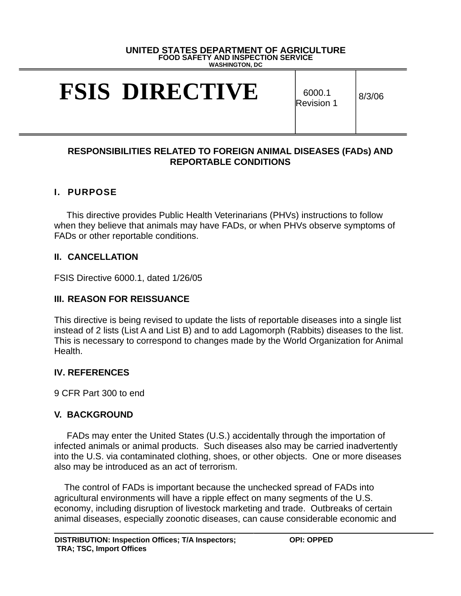#### **UNITED STATES DEPARTMENT OF AGRICULTURE FOOD SAFETY AND INSPECTION SERVICE WASHINGTON, DC**

# **FSIS DIRECTIVE** 6000.1

Revision 1

8/3/06

#### **RESPONSIBILITIES RELATED TO FOREIGN ANIMAL DISEASES (FADs) AND REPORTABLE CONDITIONS**

### **I. PURPOSE**

This directive provides Public Health Veterinarians (PHVs) instructions to follow when they believe that animals may have FADs, or when PHVs observe symptoms of FADs or other reportable conditions.

### **II. CANCELLATION**

FSIS Directive 6000.1, dated 1/26/05

### **III. REASON FOR REISSUANCE**

This directive is being revised to update the lists of reportable diseases into a single list instead of 2 lists (List A and List B) and to add Lagomorph (Rabbits) diseases to the list. This is necessary to correspond to changes made by the World Organization for Animal Health.

### **IV. REFERENCES**

9 CFR Part 300 to end

### **V. BACKGROUND**

 FADs may enter the United States (U.S.) accidentally through the importation of infected animals or animal products. Such diseases also may be carried inadvertently into the U.S. via contaminated clothing, shoes, or other objects. One or more diseases also may be introduced as an act of terrorism.

 The control of FADs is important because the unchecked spread of FADs into agricultural environments will have a ripple effect on many segments of the U.S. economy, including disruption of livestock marketing and trade. Outbreaks of certain animal diseases, especially zoonotic diseases, can cause considerable economic and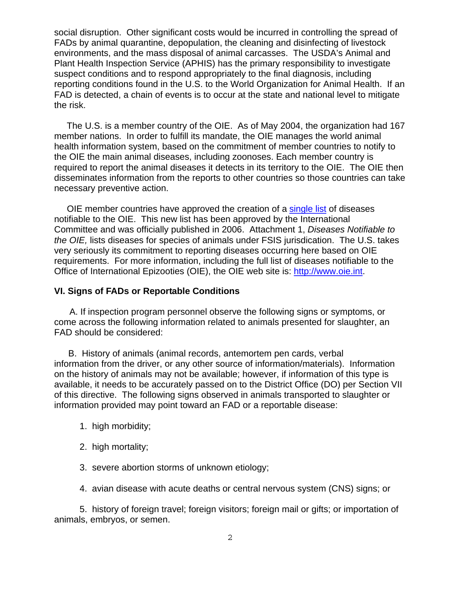social disruption. Other significant costs would be incurred in controlling the spread of FADs by animal quarantine, depopulation, the cleaning and disinfecting of livestock environments, and the mass disposal of animal carcasses. The USDA's Animal and Plant Health Inspection Service (APHIS) has the primary responsibility to investigate suspect conditions and to respond appropriately to the final diagnosis, including reporting conditions found in the U.S. to the World Organization for Animal Health. If an FAD is detected, a chain of events is to occur at the state and national level to mitigate the risk.

 The U.S. is a member country of the OIE. As of May 2004, the organization had 167 member nations. In order to fulfill its mandate, the OIE manages the world animal health information system, based on the commitment of member countries to notify to the OIE the main animal diseases, including zoonoses. Each member country is required to report the animal diseases it detects in its territory to the OIE. The OIE then disseminates information from the reports to other countries so those countries can take necessary preventive action.

 OIE member countries have approved the creation of a single list of diseases notifiable to the OIE. This new list has been approved by the International Committee and was officially published in 2006. Attachment 1, *Diseases Notifiable to the OIE,* lists diseases for species of animals under FSIS jurisdication. The U.S. takes very seriously its commitment to reporting diseases occurring here based on OIE requirements. For more information, including the full list of diseases notifiable to the Office of International Epizooties (OIE), the OIE web site is: http://www.oie.int.

#### **VI. Signs of FADs or Reportable Conditions**

 A. If inspection program personnel observe the following signs or symptoms, or come across the following information related to animals presented for slaughter, an FAD should be considered:

B. History of animals (animal records, antemortem pen cards, verbal information from the driver, or any other source of information/materials). Information on the history of animals may not be available; however, if information of this type is available, it needs to be accurately passed on to the District Office (DO) per Section VII of this directive. The following signs observed in animals transported to slaughter or information provided may point toward an FAD or a reportable disease:

- 1. high morbidity;
- 2. high mortality;
- 3. severe abortion storms of unknown etiology;
- 4. avian disease with acute deaths or central nervous system (CNS) signs; or

5. history of foreign travel; foreign visitors; foreign mail or gifts; or importation of animals, embryos, or semen.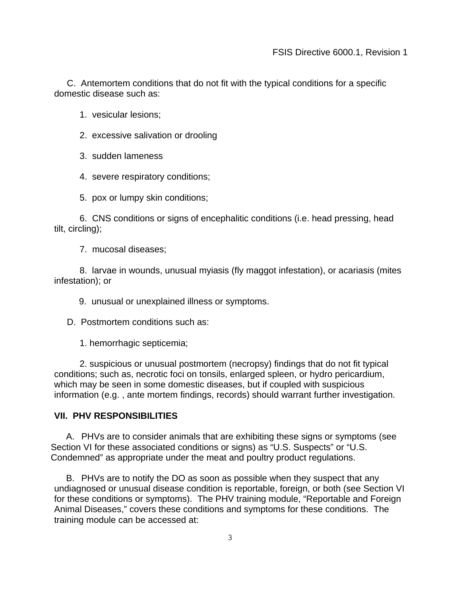C. Antemortem conditions that do not fit with the typical conditions for a specific domestic disease such as:

1. vesicular lesions;

- 2. excessive salivation or drooling
- 3. sudden lameness
- 4. severe respiratory conditions;

5. pox or lumpy skin conditions;

 6. CNS conditions or signs of encephalitic conditions (i.e. head pressing, head tilt, circling);

7. mucosal diseases;

 8. larvae in wounds, unusual myiasis (fly maggot infestation), or acariasis (mites infestation); or

9. unusual or unexplained illness or symptoms.

D. Postmortem conditions such as:

1. hemorrhagic septicemia;

 2. suspicious or unusual postmortem (necropsy) findings that do not fit typical conditions; such as, necrotic foci on tonsils, enlarged spleen, or hydro pericardium, which may be seen in some domestic diseases, but if coupled with suspicious information (e.g. , ante mortem findings, records) should warrant further investigation.

#### **VII. PHV RESPONSIBILITIES**

A. PHVs are to consider animals that are exhibiting these signs or symptoms (see Section VI for these associated conditions or signs) as "U.S. Suspects" or "U.S. Condemned" as appropriate under the meat and poultry product regulations.

B. PHVs are to notify the DO as soon as possible when they suspect that any undiagnosed or unusual disease condition is reportable, foreign, or both (see Section VI for these conditions or symptoms). The PHV training module, "Reportable and Foreign Animal Diseases," covers these conditions and symptoms for these conditions. The training module can be accessed at: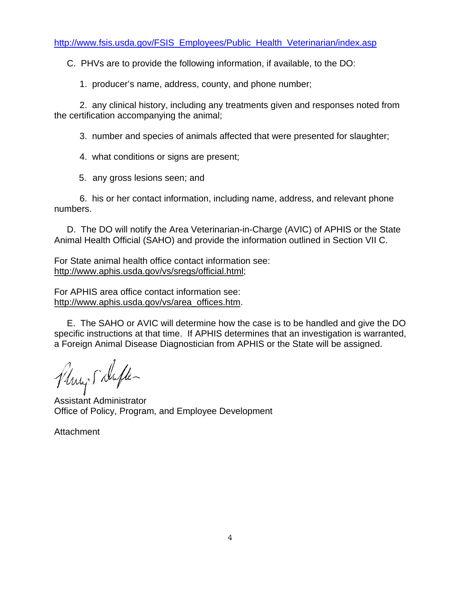C. PHVs are to provide the following information, if available, to the DO:

1. producer's name, address, county, and phone number;

 2. any clinical history, including any treatments given and responses noted from the certification accompanying the animal;

3. number and species of animals affected that were presented for slaughter;

4. what conditions or signs are present;

5. any gross lesions seen; and

 6. his or her contact information, including name, address, and relevant phone numbers.

 D. The DO will notify the Area Veterinarian-in-Charge (AVIC) of APHIS or the State Animal Health Official (SAHO) and provide the information outlined in Section VII C.

For State animal health office contact information see: http://www.aphis.usda.gov/vs/sregs/official.html;

For APHIS area office contact information see: http://www.aphis.usda.gov/vs/area\_offices.htm.

 E. The SAHO or AVIC will determine how the case is to be handled and give the DO specific instructions at that time. If APHIS determines that an investigation is warranted, a Foreign Animal Disease Diagnostician from APHIS or the State will be assigned.

Plings Dufter

Assistant Administrator Office of Policy, Program, and Employee Development

**Attachment**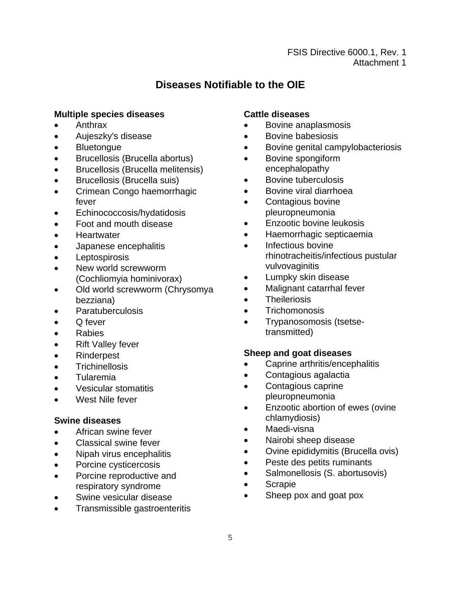#### FSIS Directive 6000.1, Rev. 1 Attachment 1

# **Diseases Notifiable to the OIE**

#### **Multiple species diseases Cattle diseases**

- 
- Aujeszky's disease Bovine babesiosis
- 
- Brucellosis (Brucella abortus) Bovine spongiform
- Brucellosis (Brucella melitensis) encephalopathy
- Brucellosis (Brucella suis) Bovine tuberculosis
- Crimean Congo haemorrhagic Bovine viral diarrhoea fever **•** Contagious bovine
- Echinococcosis/hydatidosis pleuropneumonia
- 
- 
- Japanese encephalitis Infectious bovine
- 
- New world screwworm vulvovaginitis<br>
(Cochliomvia hominivorax) vulvovaginitis<br>
Cochliomvia hominivorax) vulvovaginitis (Cochliomyia hominivorax) • Lumphers
- Old world screwworm (Chrysomya Malignant catarrhal fever bezziana) **•** Theileriosis
- 
- 
- 
- Rift Valley fever
- 
- 
- 
- 
- 

- $\bullet$  African swine fever
- Classical swine fever Nairobi sheep disease<br>• Ningh virus and probability Ovine epididymitis (Bru
- 
- 
- Porcine reproductive and Salmonellosis (S. abortusovis)<br>
respiratory syndrome respiratory syndrome
- 
- Transmissible gastroenteritis

- Anthrax Bovine anaplasmosis
	-
- Bluetongue Bovine genital campylobacteriosis
	-
	-
	-
	-
- Foot and mouth disease **Enzootic bovine leukosis**
- Heartwater **Haemorrhagic septicaemia**
- Leptospirosis rhinotracheitis/infectious pustular<br>• New world screwworm vulvovaginitis
	-
	-
	-
	- Paratuberculosis **•** Trichomonosis
- Q fever **but a control of the Control Control of the Control of Trypanosomosis (tsetse-**• Rabies transmitted)

# • Rinderpest **Sheep and goat diseases**

- Trichinellosis **•** Caprine arthritis/encephalitis
- Tularemia Contagious agalactia
- Vesicular stomatitis **•** Contagious caprine West Nile fever **pleuropneumonia**
- Enzootic abortion of ewes (ovine **Swine diseases** chlamydiosis)<br> **chlamydiosis**<br> **c** African swine fover **changes changes changes** Maedi-visna
	-
	-
- Nipah virus encephalitis **•** Ovine epididymitis (Brucella ovis)
- Porcine cysticercosis Peste des petits ruminants
	-
	-
- Swine vesicular disease Sheep pox and goat pox